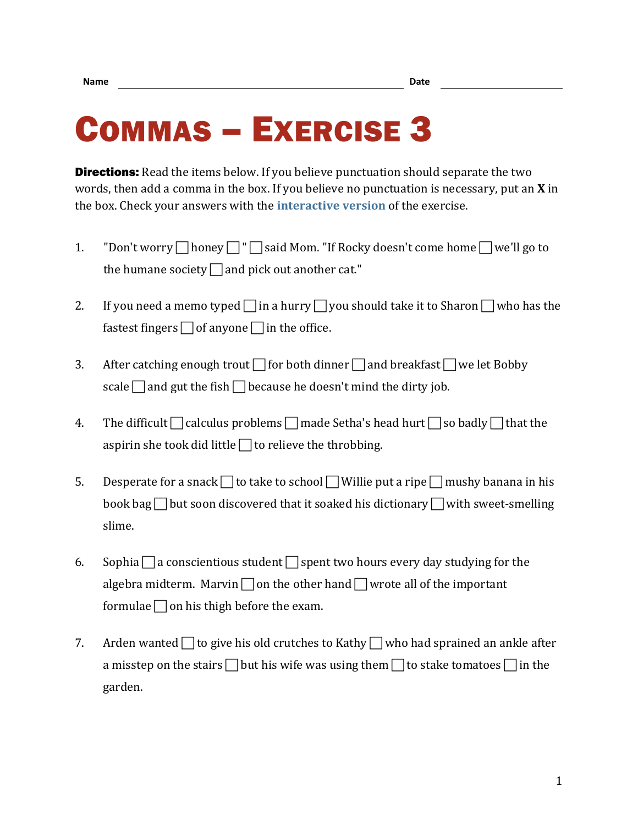## COMMAS – EXERCISE 3

**Directions:** Read the items below. If you believe punctuation should separate the two words, then add a comma in the box. If you believe no punctuation is necessary, put an **X** in the box. Check your answers with the **[interactive version](https://chompchomp.com/hotpotatoes/commas03a.htm)** of the exercise.

- 1. "Don't worry  $\Box$  honey  $\Box$ "  $\Box$  said Mom. "If Rocky doesn't come home  $\Box$  we'll go to the humane society  $\Box$  and pick out another cat."
- 2. If you need a memo typed  $\Box$  in a hurry  $\Box$  you should take it to Sharon  $\Box$  who has the fastest fingers  $\Box$  of anyone  $\Box$  in the office.
- 3. After catching enough trout  $\Box$  for both dinner  $\Box$  and breakfast  $\Box$  we let Bobby scale  $\Box$  and gut the fish  $\Box$  because he doesn't mind the dirty job.
- 4. The difficult  $\Box$  calculus problems  $\Box$  made Setha's head hurt  $\Box$  so badly  $\Box$  that the aspirin she took did little  $\Box$  to relieve the throbbing.
- 5. Desperate for a snack  $\Box$  to take to school  $\Box$  Willie put a ripe  $\Box$  mushy banana in his book bag  $\Box$  but soon discovered that it soaked his dictionary  $\Box$  with sweet-smelling slime.
- 6. Sophia  $\Box$  a conscientious student  $\Box$  spent two hours every day studying for the algebra midterm. Marvin  $\Box$  on the other hand  $\Box$  wrote all of the important formulae  $\Box$  on his thigh before the exam.
- 7. Arden wanted  $\Box$  to give his old crutches to Kathy  $\Box$  who had sprained an ankle after a misstep on the stairs  $\Box$  but his wife was using them  $\Box$  to stake tomatoes  $\Box$  in the garden.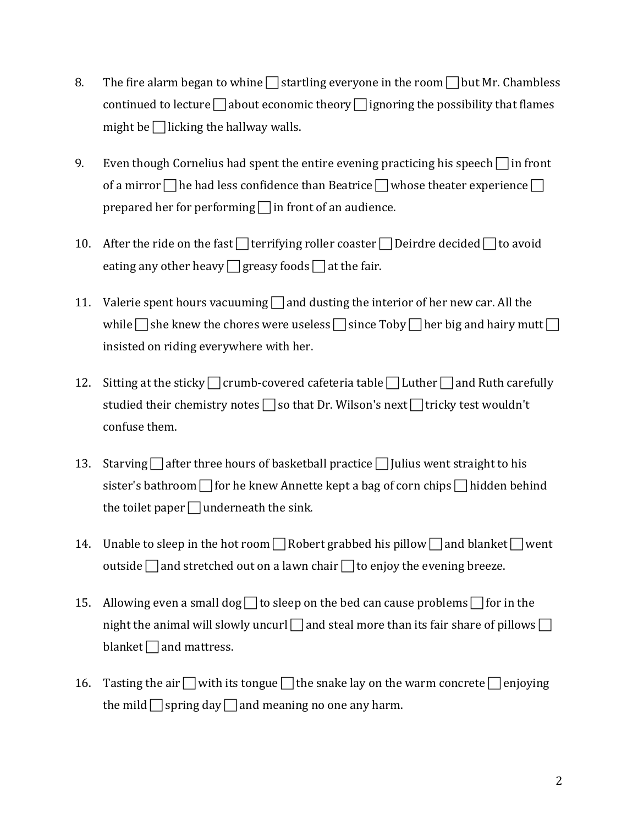- 8. The fire alarm began to whine  $\Box$  startling everyone in the room  $\Box$  but Mr. Chambless continued to lecture  $\Box$  about economic theory  $\Box$  ignoring the possibility that flames might be  $\Box$  licking the hallway walls.
- 9. Even though Cornelius had spent the entire evening practicing his speech  $\Box$  in front of a mirror  $\Box$  he had less confidence than Beatrice  $\Box$  whose theater experience  $\Box$ prepared her for performing  $\Box$  in front of an audience.
- 10. After the ride on the fast  $\Box$  terrifying roller coaster  $\Box$  Deirdre decided  $\Box$  to avoid eating any other heavy  $\Box$  greasy foods  $\Box$  at the fair.
- 11. Valerie spent hours vacuuming  $\Box$  and dusting the interior of her new car. All the while  $\Box$  she knew the chores were useless  $\Box$  since Toby  $\Box$  her big and hairy mutt  $\Box$ insisted on riding everywhere with her.
- 12. Sitting at the sticky  $\Box$  crumb-covered cafeteria table  $\Box$  Luther  $\Box$  and Ruth carefully studied their chemistry notes  $\Box$  so that Dr. Wilson's next  $\Box$  tricky test wouldn't confuse them.
- 13. Starving  $\Box$  after three hours of basketball practice  $\Box$  Julius went straight to his sister's bathroom  $\Box$  for he knew Annette kept a bag of corn chips  $\Box$  hidden behind the toilet paper  $\Box$  underneath the sink.
- 14. Unable to sleep in the hot room  $\Box$  Robert grabbed his pillow  $\Box$  and blanket  $\Box$  went outside  $\Box$  and stretched out on a lawn chair  $\Box$  to enjoy the evening breeze.
- 15. Allowing even a small dog  $\Box$  to sleep on the bed can cause problems  $\Box$  for in the night the animal will slowly uncurl  $\Box$  and steal more than its fair share of pillows  $\Box$ blanket  $\Box$  and mattress.
- 16. Tasting the air  $\Box$  with its tongue  $\Box$  the snake lay on the warm concrete  $\Box$  enjoying the mild  $\Box$  spring day  $\Box$  and meaning no one any harm.